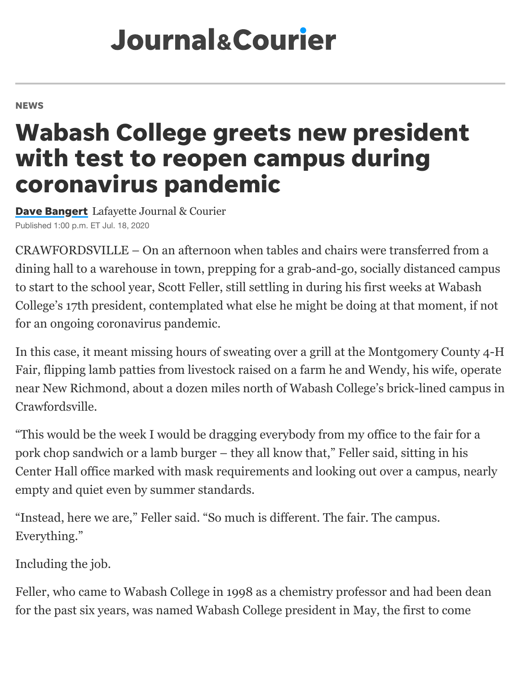# **Journal&Courier**

#### **NEWS**

## Wabash College greets new president with test to reopen campus during coronavirus pandemic

[Dave Bangert](https://www.jconline.com/staff/4406814002/dave-bangert/) Lafayette Journal & Courier Published 1:00 p.m. ET Jul. 18, 2020

CRAWFORDSVILLE – On an afternoon when tables and chairs were transferred from a dining hall to a warehouse in town, prepping for a grab-and-go, socially distanced campus to start to the school year, Scott Feller, still settling in during his first weeks at Wabash College's 17th president, contemplated what else he might be doing at that moment, if not for an ongoing coronavirus pandemic.

In this case, it meant missing hours of sweating over a grill at the Montgomery County 4-H Fair, flipping lamb patties from livestock raised on a farm he and Wendy, his wife, operate near New Richmond, about a dozen miles north of Wabash College's brick-lined campus in Crawfordsville.

"This would be the week I would be dragging everybody from my office to the fair for a pork chop sandwich or a lamb burger – they all know that," Feller said, sitting in his Center Hall office marked with mask requirements and looking out over a campus, nearly empty and quiet even by summer standards.

"Instead, here we are," Feller said. "So much is different. The fair. The campus. Everything."

Including the job.

Feller, who came to Wabash College in 1998 as a chemistry professor and had been dean for the past six years, was named Wabash College president in May, the first to come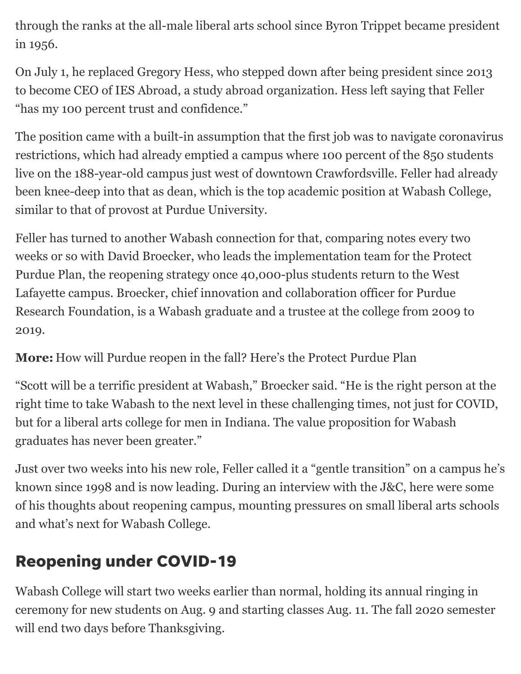through the ranks at the all-male liberal arts school since Byron Trippet became president in 1956.

On July 1, he replaced Gregory Hess, who stepped down after being president since 2013 to become CEO of IES Abroad, a study abroad organization. Hess left saying that Feller "has my 100 percent trust and confidence."

The position came with a built-in assumption that the first job was to navigate coronavirus restrictions, which had already emptied a campus where 100 percent of the 850 students live on the 188-year-old campus just west of downtown Crawfordsville. Feller had already been knee-deep into that as dean, which is the top academic position at Wabash College, similar to that of provost at Purdue University.

Feller has turned to another Wabash connection for that, comparing notes every two weeks or so with David Broecker, who leads the implementation team for the Protect Purdue Plan, the reopening strategy once 40,000-plus students return to the West Lafayette campus. Broecker, chief innovation and collaboration officer for Purdue Research Foundation, is a Wabash graduate and a trustee at the college from 2009 to 2019.

**More:** [How will Purdue reopen in the fall? Here's the Protect Purdue Plan](https://www.jconline.com/story/news/2020/06/13/coronavirus-campus-how-purdue-reopen-fall-heres-protect-purdue-plan/3181991001/)

"Scott will be a terrific president at Wabash," Broecker said. "He is the right person at the right time to take Wabash to the next level in these challenging times, not just for COVID, but for a liberal arts college for men in Indiana. The value proposition for Wabash graduates has never been greater."

Just over two weeks into his new role, Feller called it a "gentle transition" on a campus he's known since 1998 and is now leading. During an interview with the J&C, here were some of his thoughts about reopening campus, mounting pressures on small liberal arts schools and what's next for Wabash College.

### Reopening under COVID-19

Wabash College will start two weeks earlier than normal, holding its annual ringing in ceremony for new students on Aug. 9 and starting classes Aug. 11. The fall 2020 semester will end two days before Thanksgiving.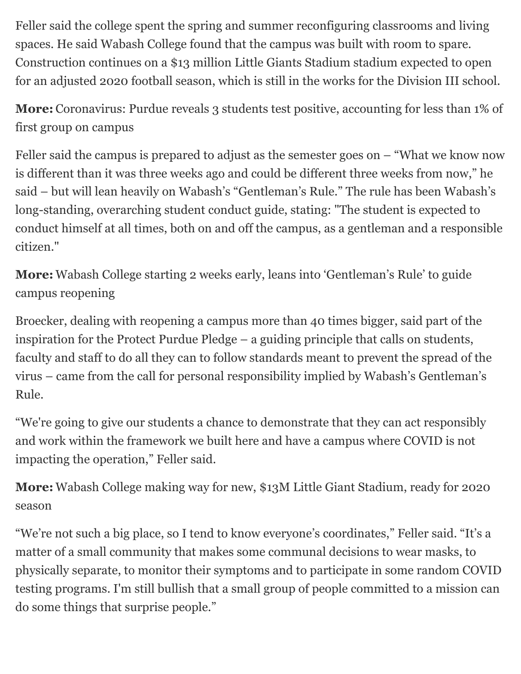Feller said the college spent the spring and summer reconfiguring classrooms and living spaces. He said Wabash College found that the campus was built with room to spare. Construction continues on a \$13 million Little Giants Stadium stadium expected to open for an adjusted 2020 football season, which is still in the works for the Division III school.

**More:** [Coronavirus: Purdue reveals 3 students test positive, accounting for less than 1% of](https://www.jconline.com/story/news/2020/07/17/coronavirus-purdue-reveals-3-students-test-positive-accounting-less-than-1-first-group-campus/5458709002/) first group on campus

Feller said the campus is prepared to adjust as the semester goes on  $-$  "What we know now is different than it was three weeks ago and could be different three weeks from now," he said – but will lean heavily on Wabash's "Gentleman's Rule." The rule has been Wabash's long-standing, overarching student conduct guide, stating: "The student is expected to conduct himself at all times, both on and off the campus, as a gentleman and a responsible citizen."

**More:** [Wabash College starting 2 weeks early, leans into 'Gentleman's Rule' to guide](https://www.jconline.com/story/news/2020/06/14/coronavirus-wabash-college-starting-2-weeks-early-leans-into-gentlemans-rule-guide-campus-reopening/3174865001/) campus reopening

Broecker, dealing with reopening a campus more than 40 times bigger, said part of the inspiration for the Protect Purdue Pledge – a guiding principle that calls on students, faculty and staff to do all they can to follow standards meant to prevent the spread of the virus – came from the call for personal responsibility implied by Wabash's Gentleman's Rule.

"We're going to give our students a chance to demonstrate that they can act responsibly and work within the framework we built here and have a campus where COVID is not impacting the operation," Feller said.

**More:** [Wabash College making way for new, \\$13M Little Giant Stadium, ready for 2020](https://www.jconline.com/story/sports/2019/09/25/wabash-college-making-way-new-13-m-little-giant-stadium-ready-2020-season/2444985001/) season

"We're not such a big place, so I tend to know everyone's coordinates," Feller said. "It's a matter of a small community that makes some communal decisions to wear masks, to physically separate, to monitor their symptoms and to participate in some random COVID testing programs. I'm still bullish that a small group of people committed to a mission can do some things that surprise people."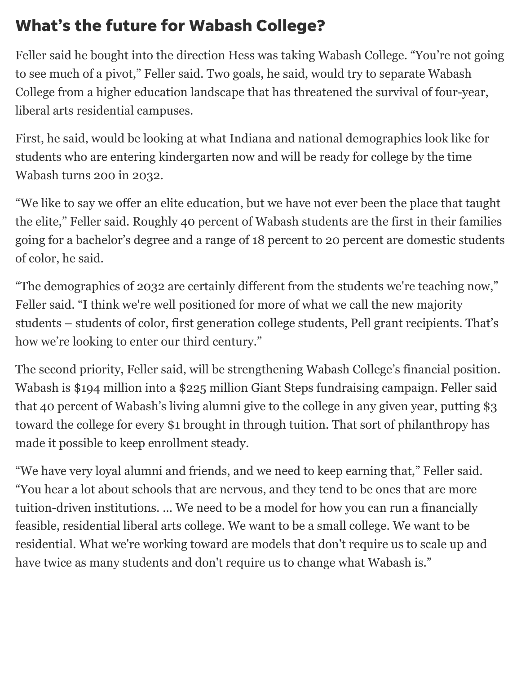### What's the future for Wabash College?

Feller said he bought into the direction Hess was taking Wabash College. "You're not going to see much of a pivot," Feller said. Two goals, he said, would try to separate Wabash College from a higher education landscape that has threatened the survival of four-year, liberal arts residential campuses.

First, he said, would be looking at what Indiana and national demographics look like for students who are entering kindergarten now and will be ready for college by the time Wabash turns 200 in 2032.

"We like to say we offer an elite education, but we have not ever been the place that taught the elite," Feller said. Roughly 40 percent of Wabash students are the first in their families going for a bachelor's degree and a range of 18 percent to 20 percent are domestic students of color, he said.

"The demographics of 2032 are certainly different from the students we're teaching now," Feller said. "I think we're well positioned for more of what we call the new majority students – students of color, first generation college students, Pell grant recipients. That's how we're looking to enter our third century."

The second priority, Feller said, will be strengthening Wabash College's financial position. Wabash is \$194 million into a \$225 million Giant Steps fundraising campaign. Feller said that 40 percent of Wabash's living alumni give to the college in any given year, putting \$3 toward the college for every \$1 brought in through tuition. That sort of philanthropy has made it possible to keep enrollment steady.

"We have very loyal alumni and friends, and we need to keep earning that," Feller said. "You hear a lot about schools that are nervous, and they tend to be ones that are more tuition-driven institutions. … We need to be a model for how you can run a financially feasible, residential liberal arts college. We want to be a small college. We want to be residential. What we're working toward are models that don't require us to scale up and have twice as many students and don't require us to change what Wabash is."